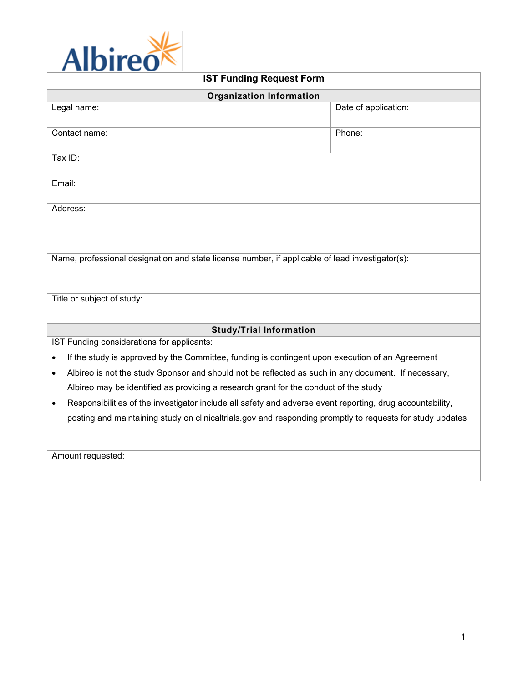

| <b>IST Funding Request Form</b>                                                                                  |                      |
|------------------------------------------------------------------------------------------------------------------|----------------------|
| <b>Organization Information</b>                                                                                  |                      |
| Legal name:                                                                                                      | Date of application: |
| Contact name:                                                                                                    | Phone:               |
| Tax ID:                                                                                                          |                      |
| Email:                                                                                                           |                      |
| Address:                                                                                                         |                      |
| Name, professional designation and state license number, if applicable of lead investigator(s):                  |                      |
| Title or subject of study:                                                                                       |                      |
| <b>Study/Trial Information</b>                                                                                   |                      |
| IST Funding considerations for applicants:                                                                       |                      |
| If the study is approved by the Committee, funding is contingent upon execution of an Agreement<br>$\bullet$     |                      |
| Albireo is not the study Sponsor and should not be reflected as such in any document. If necessary,<br>$\bullet$ |                      |
| Albireo may be identified as providing a research grant for the conduct of the study                             |                      |
| Responsibilities of the investigator include all safety and adverse event reporting, drug accountability,<br>٠   |                      |
| posting and maintaining study on clinicaltrials.gov and responding promptly to requests for study updates        |                      |
| Amount requested:                                                                                                |                      |